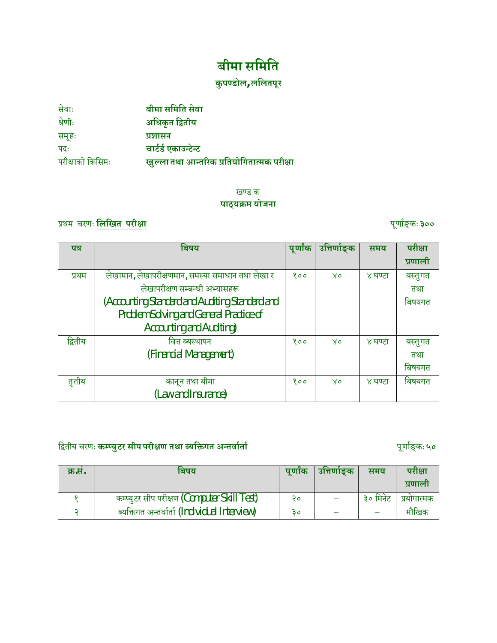# **बीमा सिमित**

# **कु पÁडोल, लिलतपूर**

| सेवाः            | बीमा समिति सेवा                            |
|------------------|--------------------------------------------|
| श्रेणीः          | अधिकृत द्वितीय                             |
| समूहः            | प्रशासन                                    |
| पदः              | चार्टर्ड एकाउन्टेन्ट                       |
| परीक्षाको किसिमः | खुल्ला तथा आन्तरिक प्रतियोगितात्मक परीक्षा |

### खण्ड क **पाठ्यøम योजना**

### ÿथम चरणः **िलिखत परी±ा** पूणाªङ् कः**३००**

| पत्र    | बिषय                                              | पूर्णाक | उत्तिर्णाङ्क | समय     | परीक्षा |
|---------|---------------------------------------------------|---------|--------------|---------|---------|
|         |                                                   |         |              |         | प्रणाली |
| प्रथम   | लेखामान, लेखापरीक्षणमान, समस्या समाधान तथा लेखा र | 800     | $X_0$        | ४ घण्टा | बस्तुगत |
|         | लेखापरीक्षण सम्बन्धी अभ्यासहरू                    |         |              |         | तथा     |
|         | (Accounting Standard and Auditing Standard and    |         |              |         | बिषयगत  |
|         | <b>Problem Solving and General Practice of</b>    |         |              |         |         |
|         | <b>Accounting and Auditing)</b>                   |         |              |         |         |
| द्वितीय | वित्त ब्यस्थापन                                   | 800     | $X_0$        | ४ घण्टा | बस्तुगत |
|         | (Financial Management)                            |         |              |         | तथा     |
|         |                                                   |         |              |         | बिषयगत  |
| तृतीय   | कानून तथा बीमा                                    | 800     | $X_0$        | ४ घण्टा | बिषयगत  |
|         | (Law and Insurance)                               |         |              |         |         |

# िĬतीय चरणः **कÌÈयुटर सीप परी±ण तथा Êयिĉगत अÆतवाªताª** पूणाªङ् कः **५०**

| क्र.स. | पणांक<br>बिषय                                 |    | उत्तिणाङक | समय      | परीक्षा     |
|--------|-----------------------------------------------|----|-----------|----------|-------------|
|        |                                               |    |           |          | प्रणाला     |
|        | कम्प्युटर सीप परीक्षण (Computer Skill Test)   | २० |           | ३० मिनेट | प्रयोगात्मक |
|        | ब्यक्तिगत अन्तर्वार्ता (Individual Interview) | З٥ |           |          | मौखिक       |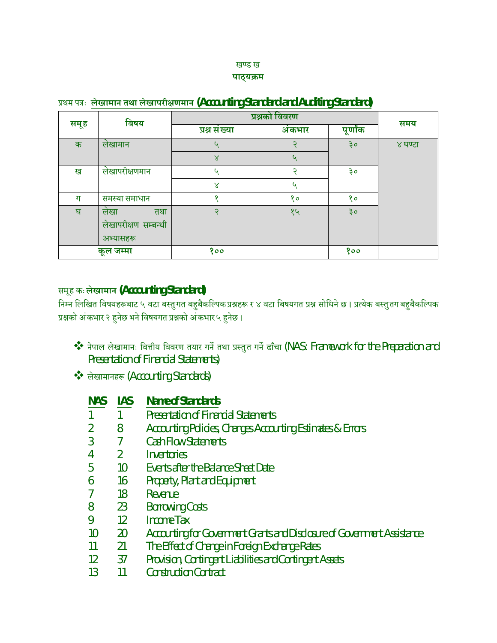#### खण्ड ख **पाठ्यøम**

|      | बिषय                 | प्रश्नको विवरण |       |          | समय     |
|------|----------------------|----------------|-------|----------|---------|
| समूह |                      | प्रश्न संख्या  | अकभार | पूर्णांक |         |
| क    | लेखामान              |                | २     | ३०       | ४ घण्टा |
|      |                      | $\propto$      | ५     |          |         |
| ख    | लेखापरीक्षणमान       | G              | ς     | ३०       |         |
|      |                      | $\mathsf{x}$   | ५     |          |         |
| ग    | समस्या समाधान        | ۰              | १०    | १०       |         |
| घ    | लेखा<br>तथा          |                | १५    | ३०       |         |
|      | लेखापरीक्षण सम्बन्धी |                |       |          |         |
|      | अभ्यासहरू            |                |       |          |         |
|      | कूल जम्मा            | 800            |       | 800      |         |

### ÿथम पýः **लेखामान तथा लेखापरी±णमान (Accounting Standard and Auditing Standard)**

### समूह कः**लेखामान (Accounting Standard)**

निम्न लिखित विषयहरूबाट ५ वटा बस्तुगत बहुबैकल्पिक प्रश्नहरू र ४ वटा बिषयगत प्रश्न सोधिने छ । प्रत्येक बस्तुतग बहुबैकल्पिक प्रश्नको अंकभार २ हुनेछ भने विषयगत प्रश्नको अंकभार ५ हुनेछ ।

- \*\* नेपाल लेखामानः वित्तीय विवरण तयार गर्ने तथा प्रस्तुत गर्ने ढाँचा (NAS: Framework for the Preparation and Presentation of Financial Statements)
- लेखामानहरू (Accounting Standards)

| <b>NAS</b>      | <b>IAS</b>     | <b>Name of Standards</b>                                                 |
|-----------------|----------------|--------------------------------------------------------------------------|
| 1               | $\mathbf{1}$   | <b>Presentation of Financial Statements</b>                              |
| $\overline{2}$  | 8              | Accounting Policies, Changes Accounting Estimates & Errors               |
| $\overline{3}$  | 7              | <b>Cash Flow Statements</b>                                              |
| 4               | $\overline{2}$ | Inventories                                                              |
| 5               | 10             | <b>Events after the Balance Sheet Date</b>                               |
| 6               | 16             | <b>Property, Plant and Equipment</b>                                     |
| 7               | 18             | Revenue                                                                  |
| 8               | 23             | <b>Borrowing Costs</b>                                                   |
| 9               | 12             | <b>Income Tax</b>                                                        |
| 10 <sup>°</sup> | <b>20</b>      | Accounting for Government Grants and Disclosure of Government Assistance |
| 11              | 21             | The Effect of Change in Foreign Exchange Rates                           |
| 12              | 37             | Provision, Contingent Liabilities and Contingent Assets                  |
| 13              | 11             | <b>Construction Contract</b>                                             |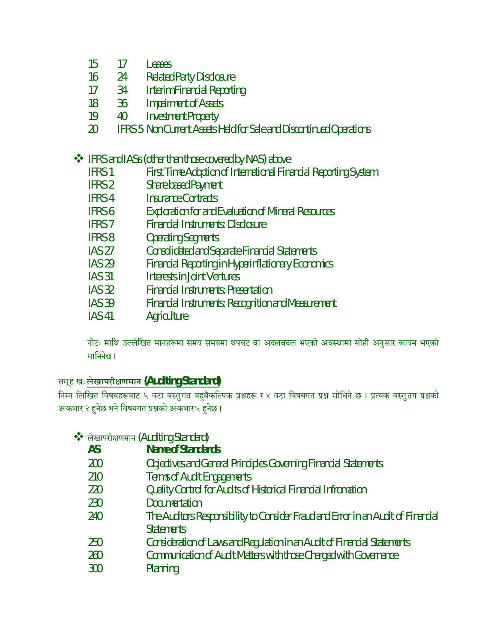- 15 17 Leases
- 16 24 Related Party Disclosure
- 17 34 Interim Financial Reporting
- 18 36 Impairment of Assets
- 19 40 Investment Property
- 20 IFRS 5 Non Current Assets Held for Sale and Discontinued Operations
- **❖** IFRS and IASs (other than those covered by NAS) above
	- **IFRS 1** First Time Adoption of International Financial Reporting System
	- IFRS 2 Share based Payment
	- IFRS 4 Insurance Contracts
	- IFRS 6 Exploration for and Evaluation of Mineral Resources
	- IFRS 7 Financial Instruments: Disclosure
	- IFRS 8 Operating Segments
	- IAS 27 Consolidated and Separate Financial Statements
	- IAS 29 Financial Reporting in Hyperinflationary Economics
	- IAS 31 Interests in Joint Ventures
	- IAS 32 Financial Instruments: Presentation
	- IAS 39 Financial Instruments: Recognition and Measurement
	- IAS 41 Agriculture

नोटः माथि उल्लेखित मानहरूमा समय समयमा थपघट वा अदलबदल भएको अवस्थामा सोही अनुसार कायम भएको मािननेछ ।

### समूह खः**लेखापरी±णमान (Auditing Standard)**

निम्न लिखित विषयहरूबाट ५ वटा बस्तुगत बहुबैकल्पिक प्रश्नहरू र ४ वटा बिषयगत प्रश्न सोधिने छ । प्रत्यक बस्तुतग प्रश्नको अंकभार २ हुनेछ भने विषयगत प्रश्नको अंकभार५ हुनेछ ।

- ◆ लेखापरीक्षणमान (Auditing Standard)
	- **AS Name of Standards**
	- 200 Objectives and General Principles Governing Financial Statements
	- 210 Terms of Audit Engagements
	- 220 Quality Control for Audits of Historical Financial Infromation
	- 230 Documentation
	- 240 The Auditors Responsibility to Consider Fraud and Error in an Audit of Financial **Statements**
	- 250 Consideration of Laws and Regulation in an Audit of Financial Statements
	- 260 Communication of Audit Matters with those Charged with Governance
	- 300 Planning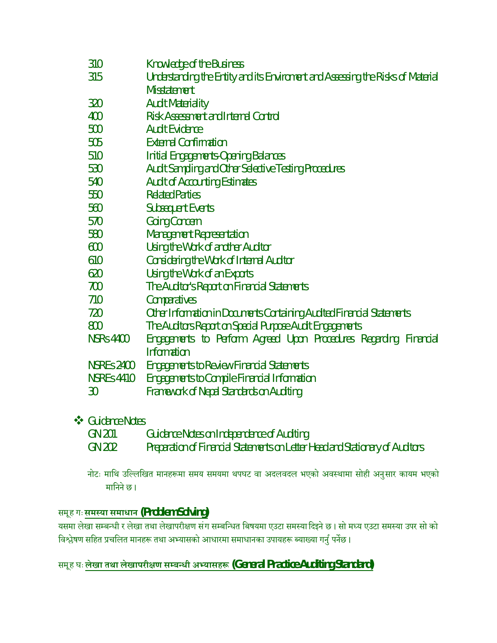| 310               | <b>Knowledge of the Business</b>                                                |  |  |  |  |
|-------------------|---------------------------------------------------------------------------------|--|--|--|--|
| 315               | Understanding the Entity and its Enviroment and Assessing the Risks of Material |  |  |  |  |
|                   | <b>Misstatement</b>                                                             |  |  |  |  |
| 320               | <b>Audit Materiality</b>                                                        |  |  |  |  |
| 400               | <b>Risk Assessment and Internal Control</b>                                     |  |  |  |  |
| 500               | <b>Audit Evidence</b>                                                           |  |  |  |  |
| 505               | <b>External Confirmation</b>                                                    |  |  |  |  |
| 510               | <b>Initial Engagements-Opening Balances</b>                                     |  |  |  |  |
| 530               | <b>Audit Sampling and Other Selective Testing Procedures</b>                    |  |  |  |  |
| 540               | <b>Audit of Accounting Estimates</b>                                            |  |  |  |  |
| 550               | <b>Related Parties</b>                                                          |  |  |  |  |
| 560               | <b>Subsequent Events</b>                                                        |  |  |  |  |
| 570               | <b>Going Concern</b>                                                            |  |  |  |  |
| 580               | <b>Management Representation</b>                                                |  |  |  |  |
| 600               | Using the Work of another Auditor                                               |  |  |  |  |
| 610               | <b>Considering the Work of Internal Auditor</b>                                 |  |  |  |  |
| 620               | Using the Work of an Exports                                                    |  |  |  |  |
| 700               | The Auditor's Report on Financial Statements                                    |  |  |  |  |
| 710               | Comparatives                                                                    |  |  |  |  |
| 720               | Other Information in Documents Containing Audited Financial Statements          |  |  |  |  |
| 800               | The Auditors Report on Special Purpose Audit Engagements                        |  |  |  |  |
| <b>NSRs 4400</b>  | Engagements to Perform Agreed Upon Procedures Regarding Financial               |  |  |  |  |
|                   | <b>Information</b>                                                              |  |  |  |  |
| <b>NSREs 2400</b> | <b>Engagements to Review Financial Statements</b>                               |  |  |  |  |
| <b>NSREs 4410</b> | <b>Engagements to Compile Financial Information</b>                             |  |  |  |  |
| 30                | <b>Framework of Nepal Standards on Auditing</b>                                 |  |  |  |  |
|                   |                                                                                 |  |  |  |  |

### **S** Guidance Notes

| <b>GN 201</b> | <b>Guidance Notes on Independence of Auditing</b>                             |
|---------------|-------------------------------------------------------------------------------|
| GN 202        | Preparation of Financial Statements on Letter Head and Stationary of Auditors |

नोटः माथि उल्लिखित मानहरूमा समय समयमा थपघट वा अदलवदल भएको अवस्थामा सोही अनुसार कायम भएको मािनने छ ।

### समूह गः**समÖया समाधान (Problem Solving)**

यसमा लेखा सम्बन्धी र लेखा तथा लेखापरीक्षण संग सम्बन्धित बिषयमा एउटा समस्या दिइने छ। सो मध्य एउटा समस्या उपर सो को विश्लेषण सहित प्रचलित मानहरू तथा अभ्यासको आधारमा समाधानका उपायहरू ब्याख्या गर्नु पर्नेछ ।

## समूह घः लेखा तथा लेखापरीक्षण सम्बन्धी अभ्यासह<mark>रू (General Practice Auditing Standard)</mark>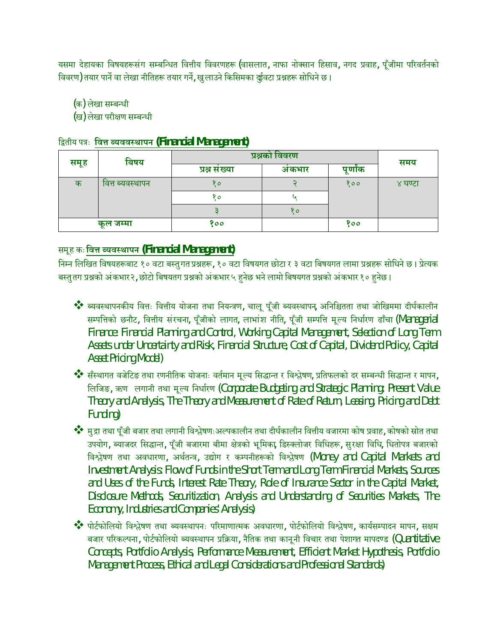यसमा देहायका विषयहरूसंग सम्बन्धित वित्तीय विवरणहरू (वासलात, नाफा नोक्सान हिसाव, नगद प्रवाह, पूँजीमा परिवर्तनको विवरण) तयार पार्ने वा लेखा नीतिहरू तयार गर्ने, खुलाउने किसिमका र्व्डुवटा प्रश्नहरू सोधिने छ।

(क) लेखा सम्बन्धी

(ख) लेखा परीक्षण सम्बन्धी

| द्वितीय पत्रः  वित्त ब्यववस्थापन (Financial Management) |  |  |
|---------------------------------------------------------|--|--|
|                                                         |  |  |

| बिषय |                  | प्रश्नको विवरण |       |         | समय     |
|------|------------------|----------------|-------|---------|---------|
| समूह |                  | प्रश्न संख्या  | अकभार | पूर्णाक |         |
| क    | वित्त ब्यवस्थापन | १०             |       | १००     | ४ घण्टा |
|      |                  | १०             |       |         |         |
|      |                  |                | १०    |         |         |
|      | कूल जम्मा        | १००            |       | 800     |         |

### समूह कः**िव° ÊयवÖथापन (Financial Management)**

निम्न लिखित विषयहरूबाट १० वटा बस्तुगत प्रश्नहरू, १० वटा विषयगत छोटा र ३ वटा बिषयगत लामा प्रश्नहरू सोधिने छ। प्रेत्यक बस्तुतग प्रश्नको अंकभार २, छोटो बिषयतग प्रश्नको अंकभार ५ हुनेछ भने लामो बिषयगत प्रश्नको अंकभार १० हुनेछ ।

- $\dots$ े ब्यवस्थापनकीय वित्तः वित्तीय योजना तथा नियन्त्रण, चालू पूँजी ब्यवस्थापन, अनिश्चितता तथा जोखिममा दीर्घकालीन सम्पत्तिको छनौट, वित्तीय संरचना, पूँजीको लागत, लाभांश नीति, पूँजी सम्पत्ति मूल्य निर्धारण ढाँचा (Managerial Finance: Financial Planning and Control, Working Capital Management, Selection of Long Term Assets under Uncertainty and Risk, Financial Structure, Cost of Capital, Dividend Policy, Capital Asset Pricing Model)
- \*\* सँस्थागत वजेटिङ तथा रणनीतिक योजनाः वर्तमान मूल्य सिद्धान्त र विश्लेषण, प्रतिफलको दर सम्बन्धी सिद्धान्त र मापन, लिजिङ, ऋण लगानी तथा मूल्य निर्धारण (Corporate Budgeting and Strategic Planning: Present Value Theory and Analysis, The Theory and Measurement of Rate of Return, Leasing, Pricing and Debt Funding)
- ◆❖ मुद्रा तथा पूँजी बजार तथा लगानी विश्लेषणःअल्पकालीन तथा दीर्घकालीन वित्तीय वजारमा कोष प्रवाह, कोषको स्रोत तथा उपयोग, ब्याजदर सिद्धान्त, पूँजी बजारमा बीमा क्षेत्रको भूमिका, डिस्क्लोजर विधिहरू, सुरक्षा विधि, धितोपत्र बजारको विश्लेषण तथा अवधारणा, अर्थतन्त्र, उद्योग र कम्पनीहरूको विश्लेषण (Money and Capital Markets and Investment Analysis: Flow of Funds in the Short Term and Long Term Financial Markets, Sources and Uses of the Funds, Interest Rate Theory, Role of Insurance Sector in the Capital Market, Disclosure Methods, Securitization, Analysis and Understanding of Securities Markets, The Economy, Industries and Companies' Analysis)
- $\dots$ े पोर्टफोलियो विश्लेषण तथा ब्यवस्थापनः परिमाणात्मक अवधारणा, पोर्टफोलियो विश्लेषण, कार्यसम्पादन मापन, सक्षम बजार परिकल्पना, पोर्टफोलियो ब्यवस्थापन प्रक्रिया, नैतिक तथा कानूनी विचार तथा पेशागत मापदण्ड (Quantitative Concepts, Portfolio Analysis, Performance Measurement, Efficient Market Hypothesis, Portfolio Management Process, Ethical and Legal Considerations and Professional Standards)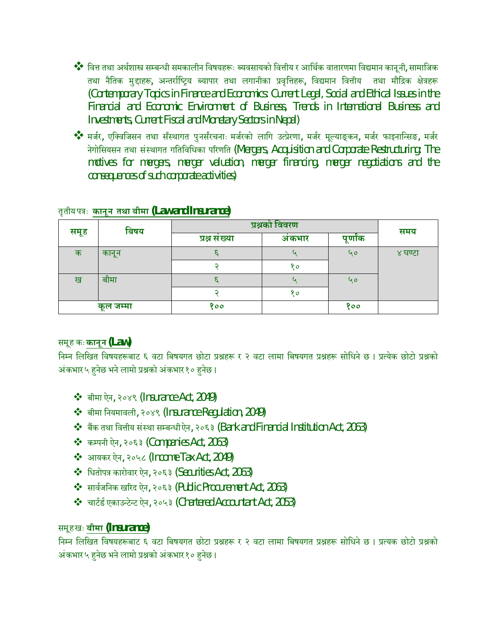$\clubsuit$ े वित्त तथा अर्थशास्त्र सम्बन्धी समकालीन विषयहरूः ब्यवसायको वित्तीय र आर्थिक वातारणमा विद्यमान कानूनी, सामाजिक तथा नैतिक मुद्दाहरू, अन्तर्राष्ट्रिय ब्यापार तथा लगानीका प्रवृत्तिहरू, विद्यमान वित्तीय तथा मौद्रिक क्षेत्रहरू (Contemporary Topics in Finance and Economics: Current Legal, Social and Ethical Issues in the Financial and Economic Environment of Business, Trends in International Business and Investments, Current Fiscal and Monetary Sectors in Nepal)

◆❖ मर्जर, एक्विजिसन तथा सँस्थागत पुनर्संरचनाः मर्जरको लागि उत्प्रेरणा, मर्जर मूल्याङ्कन, मर्जर फाइनान्सिङ, मर्जर नेगोसियसन तथा संस्थागत गतिविधिका परिणति (Mergers, Acquisition and Corporate Restructuring: The motives for mergers, merger valuation, merger financing, merger negotiations and the consequences of such corporate activities)

| बिषय |           | प्रश्नको विवरण |       |          | समय     |
|------|-----------|----------------|-------|----------|---------|
| समूह |           | प्रश्न संख्या  | अकभार | पूर्णांक |         |
| क    | कानून     |                |       | ५०       | ४ घण्टा |
|      |           |                | १०    |          |         |
| ख    | बीमा      |                |       | 40       |         |
|      |           |                | 80    |          |         |
|      | कूल जम्मा | १००            |       | १००      |         |

### तृतीय पýः **कानून तथा बीमा (Law and Insurance)**

### समूह कः **कानून (Law)**

निम्न लिखित विषयहरूबाट ६ वटा बिषयगत छोटा प्रश्नहरू र २ वटा लामा बिषयगत प्रश्नहरू सोधिने छ । प्रत्येक छोटो प्रश्नको अंकभार ५ हनेछ भने लामो प्रश्नको अंकभार १० हनेछ ।

- बीमा ऐन, २०४९ (Insurance Act, 2049)
- बीमा िनयमावली, २०४९ (Insurance Regulation, 2049)
- $\clubsuit$  बैंक तथा वित्तीय संस्था सम्बन्धी ऐन, २०६३ (Bank and Financial Institution Act, 2063)
- $\div$  कम्पनी ऐन, २०६३ (Companies Act, 2063)
- आयकर ऐन, २०५८ (Income Tax Act, 2049)
- $\cdot$  धितोपत्र कारोवार ऐन, २०६३ (Securities Act, 2063)
- $\cdot$  सार्वजनिक खरिद ऐन, २०६३ (Public Procurement Act, 2063)
- $\cdot \cdot$  चार्टर्ड एकाउन्टेन्ट ऐन, २०५३ (Chartered Accountant Act, 2053)

### समूह खः **बीमा (Insurance)**

निम्न लिखित विषयहरूबाट ६ वटा बिषयगत छोटा प्रश्नहरू र २ वटा लामा बिषयगत प्रश्नहरू सोधिने छ । प्रत्यक छोटो प्रश्नको अंकभार ५ हनेछ भने लामो प्रश्नको अंकभार १० हनेछ ।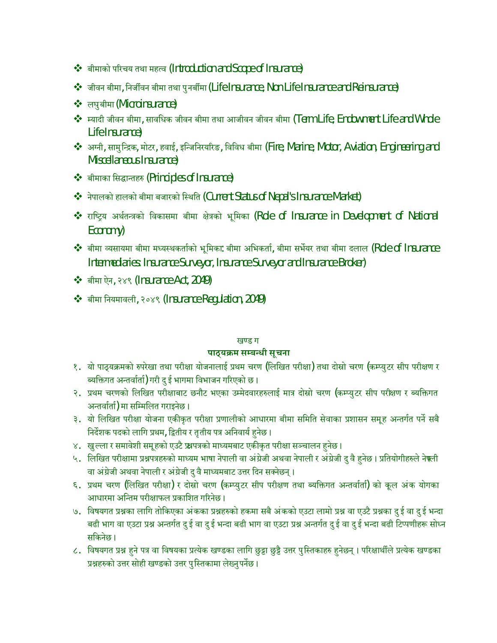- बीमाको परिचय तथा महत्व (Introduction and Scope of Insurance)
- जीवन बीमा, िनजêवन बीमा तथा पुनबêमा (Life Insurance, Non Life Insurance and Reinsurance)
- लघुबीमा(Microinsurance)
- $\clubsuit$  स्यादी जीवन बीमा, सावधिक जीवन बीमा तथा आजीवन जीवन बीमा (Term Life, Endowment Life and Whole Life Insurance)
- अµनी, सामुिÆþक, मोटर, हवाई, इिÆजिनरयåरङ, िविवध बीमा (Fire, Marine, Motor, Aviation, Engineering and Miscellaneous Insurance)
- •• बीमाका सिद्धान्तहरु (Principles of Insurance)
- $\clubsuit$  नेपालको हालको बीमा बजारको स्थिति (Current Status of Nepal's Insurance Market)
- ❖ राष्ट्रिय अर्थतन्त्रको विकासमा बीमा क्षेत्रको भूमिका (Role of Insurance in Development of National Economy)
- $\clubsuit$  बीमा व्यसायमा बीमा मध्यस्थकर्ताको भूमिका: बीमा अभिकर्ता, बीमा सर्भेयर तथा बीमा दलाल (Role of Insurance Intermediaries: Insurance Surveyor, Insurance Surveyor and Insurance Broker)
- बीमा ऐन, २४९ (Insurance Act, 2049)
- बीमा िनयमावली, २०४९ (Insurance Regulation, 2049)

#### खण्ड ग

#### पाठ्यक्रम सम्बन्धी **सूचना**

- १. यो पाठ्यक्रमको रुपरेखा तथा परीक्षा योजनालाई प्रथम चरण (लिखित परीक्षा) तथा दोस्रो चरण (कम्प्युटर सीप परीक्षण र ब्यक्तिगत अन्तर्वार्ता) गरी दु ई भागमा विभाजन गरिएको छ ।
- २. प्रथम चरणको लिखित परीक्षाबाट छनौट भएका उम्मेदवारहरुलाई मात्र दोस्रो चरण (कम्प्युटर सीप परीक्षण र ब्यक्तिगत अन्तर्वार्ता) मा सम्मिलित गराइनेछ।
- ३. यो लिखित परीक्षा योजना एकीकृत परीक्षा प्रणालीको आधारमा बीमा समिति सेवाका प्रशासन समूह अन्तर्गत पर्ने सबै निर्देशक पदको लागि प्रथम, द्वितीय र तृतीय पत्र अनिवार्य हुनेछ ।
- ४. खुल्ला र समावेशी समूहको एउटै फ्र्रपत्रको माध्यमबाट एकीकृत परीक्षा सञ्चालन हुनेछ।
- ५. लिखित परीक्षामा प्रश्नपत्रहरुको माध्यम भाषा नेपाली वा अंग्रेजी अथवा नेपाली र अंग्रेजी दु वै हुनेछ। प्रतियोगीहरुले नेफ्ली वा अंग्रेजी अथवा नेपाली र अंग्रेजी दु वै माध्यमबाट उत्तर दिन सक्नेछन् ।
- ६. प्रथम चरण (लिखित परीक्षा) र दोस्रो चरण (कम्प्युटर सीप परीक्षण तथा ब्यक्तिगत अन्तर्वाता) को कूल अंक योगका आधारमा अन्तिम परीक्षाफल प्रकाशित गरिनेछ ।
- ७. विषयगत प्रश्नका लागि तोकिएका अंकका प्रश्नहरुको हकमा सबै अंकको एउटा लामो प्रश्न वा एउटै प्रश्नका दु ई वा दु ई भन्दा बढी भाग वा एउटा प्रश्न अन्तर्गत दु ई वा दु ई भन्दा बढी भाग वा एउटा प्रश्न अन्तर्गत दु ई वा दु ई भन्दा बढी टिप्पणीहरू सोध्न सिकनेछ ।
- ८. विषयगत प्रश्न हुने पत्र वा विषयका प्रत्येक खण्डका लागि छुट्टा छुट्टै उत्तर पुस्तिकाहरु हुनेछन् । परिक्षार्थीले प्रत्येक खण्डका प्रश्नहरुको उत्तर सोही खण्डको उत्तर पुस्तिकामा लेख्नुपर्नेछ ।